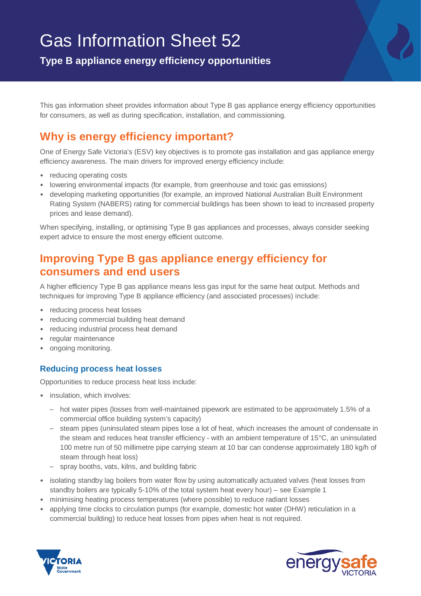# Gas Information Sheet 52

**Type B appliance energy efficiency opportunities**

This gas information sheet provides information about Type B gas appliance energy efficiency opportunities for consumers, as well as during specification, installation, and commissioning.

# **Why is energy efficiency important?**

One of Energy Safe Victoria's (ESV) key objectives is to promote gas installation and gas appliance energy efficiency awareness. The main drivers for improved energy efficiency include:

- reducing operating costs
- lowering environmental impacts (for example, from greenhouse and toxic gas emissions)
- developing marketing opportunities (for example, an improved National Australian Built Environment Rating System (NABERS) rating for commercial buildings has been shown to lead to increased property prices and lease demand).

When specifying, installing, or optimising Type B gas appliances and processes, always consider seeking expert advice to ensure the most energy efficient outcome.

# **Improving Type B gas appliance energy efficiency for consumers and end users**

A higher efficiency Type B gas appliance means less gas input for the same heat output. Methods and techniques for improving Type B appliance efficiency (and associated processes) include:

- reducing process heat losses
- reducing commercial building heat demand
- reducing industrial process heat demand
- regular maintenance
- ongoing monitoring.

## **Reducing process heat losses**

Opportunities to reduce process heat loss include:

- insulation, which involves:
	- hot water pipes (losses from well-maintained pipework are estimated to be approximately 1.5% of a commercial office building system's capacity)
	- steam pipes (uninsulated steam pipes lose a lot of heat, which increases the amount of condensate in the steam and reduces heat transfer efficiency - with an ambient temperature of 15°C, an uninsulated 100 metre run of 50 millimetre pipe carrying steam at 10 bar can condense approximately 180 kg/h of steam through heat loss)
	- spray booths, vats, kilns, and building fabric
- isolating standby lag boilers from water flow by using automatically actuated valves (heat losses from standby boilers are typically 5-10% of the total system heat every hour) – see Example 1
- minimising heating process temperatures (where possible) to reduce radiant losses
- applying time clocks to circulation pumps (for example, domestic hot water (DHW) reticulation in a commercial building) to reduce heat losses from pipes when heat is not required.



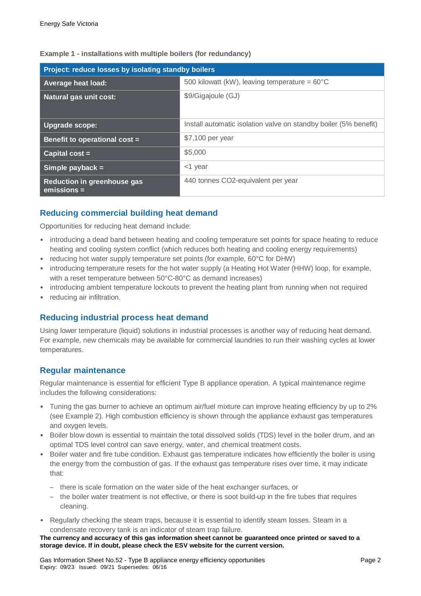| Project: reduce losses by isolating standby boilers |                                                                  |  |
|-----------------------------------------------------|------------------------------------------------------------------|--|
| <b>Average heat load:</b>                           | 500 kilowatt (kW), leaving temperature = $60^{\circ}$ C          |  |
| <b>Natural gas unit cost:</b>                       | \$9/Gigajoule (GJ)                                               |  |
| Upgrade scope:                                      | Install automatic isolation valve on standby boiler (5% benefit) |  |
| Benefit to operational cost =                       | \$7,100 per year                                                 |  |
| Capital $cost =$                                    | \$5,000                                                          |  |
| Simple payback $=$                                  | $<$ 1 year                                                       |  |
| Reduction in greenhouse gas<br>$emission =$         | 440 tonnes CO2-equivalent per year                               |  |

#### **Example 1 - installations with multiple boilers (for redundancy)**

### **Reducing commercial building heat demand**

Opportunities for reducing heat demand include:

- introducing a dead band between heating and cooling temperature set points for space heating to reduce heating and cooling system conflict (which reduces both heating and cooling energy requirements)
- reducing hot water supply temperature set points (for example, 60°C for DHW)
- introducing temperature resets for the hot water supply (a Heating Hot Water (HHW) loop, for example, with a reset temperature between 50°C-80°C as demand increases)
- introducing ambient temperature lockouts to prevent the heating plant from running when not required
- reducing air infiltration.

#### **Reducing industrial process heat demand**

Using lower temperature (liquid) solutions in industrial processes is another way of reducing heat demand. For example, new chemicals may be available for commercial laundries to run their washing cycles at lower temperatures.

#### **Regular maintenance**

Regular maintenance is essential for efficient Type B appliance operation. A typical maintenance regime includes the following considerations:

- Tuning the gas burner to achieve an optimum air/fuel mixture can improve heating efficiency by up to 2% (see Example 2). High combustion efficiency is shown through the appliance exhaust gas temperatures and oxygen levels.
- Boiler blow down is essential to maintain the total dissolved solids (TDS) level in the boiler drum, and an optimal TDS level control can save energy, water, and chemical treatment costs.
- Boiler water and fire tube condition. Exhaust gas temperature indicates how efficiently the boiler is using the energy from the combustion of gas. If the exhaust gas temperature rises over time, it may indicate that:
	- there is scale formation on the water side of the heat exchanger surfaces, or
	- the boiler water treatment is not effective, or there is soot build-up in the fire tubes that requires cleaning.
- Regularly checking the steam traps, because it is essential to identify steam losses. Steam in a condensate recovery tank is an indicator of steam trap failure.

**The currency and accuracy of this gas information sheet cannot be guaranteed once printed or saved to a storage device. If in doubt, please check the ESV website for the current version.**

Gas Information Sheet No.52 - Type B appliance energy efficiency opportunities Page 2 Expiry: 09/23 Issued: 09/21 Supersedes: 06/16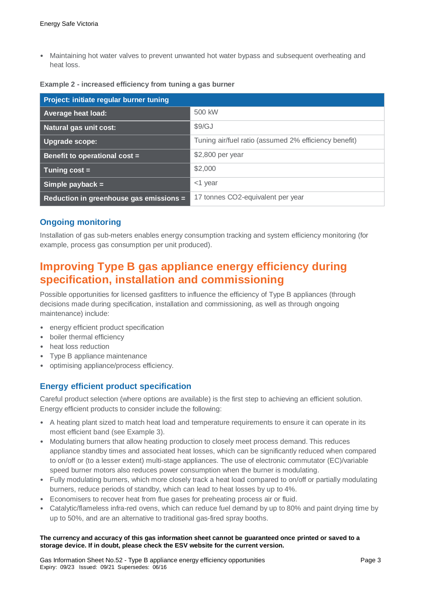• Maintaining hot water valves to prevent unwanted hot water bypass and subsequent overheating and heat loss.

| Example 2 - increased efficiency from tuning a gas burner |  |  |  |
|-----------------------------------------------------------|--|--|--|
|-----------------------------------------------------------|--|--|--|

| Project: initiate regular burner tuning |                                                       |  |
|-----------------------------------------|-------------------------------------------------------|--|
| <b>Average heat load:</b>               | 500 kW                                                |  |
| <b>Natural gas unit cost:</b>           | \$9/GJ                                                |  |
| Upgrade scope:                          | Tuning air/fuel ratio (assumed 2% efficiency benefit) |  |
| Benefit to operational cost =           | \$2,800 per year                                      |  |
| Tuning $cost =$                         | \$2,000                                               |  |
| Simple payback $=$                      | $<$ 1 year                                            |  |
| Reduction in greenhouse gas emissions = | 17 tonnes CO2-equivalent per year                     |  |

#### **Ongoing monitoring**

Installation of gas sub-meters enables energy consumption tracking and system efficiency monitoring (for example, process gas consumption per unit produced).

# **Improving Type B gas appliance energy efficiency during specification, installation and commissioning**

Possible opportunities for licensed gasfitters to influence the efficiency of Type B appliances (through decisions made during specification, installation and commissioning, as well as through ongoing maintenance) include:

- energy efficient product specification
- boiler thermal efficiency
- heat loss reduction
- Type B appliance maintenance
- optimising appliance/process efficiency.

#### **Energy efficient product specification**

Careful product selection (where options are available) is the first step to achieving an efficient solution. Energy efficient products to consider include the following:

- A heating plant sized to match heat load and temperature requirements to ensure it can operate in its most efficient band (see Example 3).
- Modulating burners that allow heating production to closely meet process demand. This reduces appliance standby times and associated heat losses, which can be significantly reduced when compared to on/off or (to a lesser extent) multi-stage appliances. The use of electronic commutator (EC)/variable speed burner motors also reduces power consumption when the burner is modulating.
- Fully modulating burners, which more closely track a heat load compared to on/off or partially modulating burners, reduce periods of standby, which can lead to heat losses by up to 4%.
- Economisers to recover heat from flue gases for preheating process air or fluid.
- Catalytic/flameless infra-red ovens, which can reduce fuel demand by up to 80% and paint drying time by up to 50%, and are an alternative to traditional gas-fired spray booths.

#### **The currency and accuracy of this gas information sheet cannot be guaranteed once printed or saved to a storage device. If in doubt, please check the ESV website for the current version.**

Gas Information Sheet No.52 - Type B appliance energy efficiency opportunities Page 3 Expiry: 09/23 Issued: 09/21 Supersedes: 06/16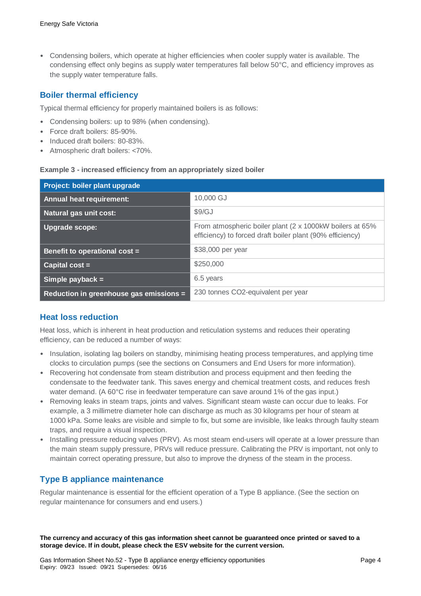• Condensing boilers, which operate at higher efficiencies when cooler supply water is available. The condensing effect only begins as supply water temperatures fall below 50°C, and efficiency improves as the supply water temperature falls.

### **Boiler thermal efficiency**

Typical thermal efficiency for properly maintained boilers is as follows:

- Condensing boilers: up to 98% (when condensing).
- Force draft boilers: 85-90%.
- Induced draft boilers: 80-83%.
- Atmospheric draft boilers: <70%.

#### **Example 3 - increased efficiency from an appropriately sized boiler**

| Project: boiler plant upgrade           |                                                                                                                       |
|-----------------------------------------|-----------------------------------------------------------------------------------------------------------------------|
| <b>Annual heat requirement:</b>         | 10,000 GJ                                                                                                             |
| Natural gas unit cost:                  | \$9/GJ                                                                                                                |
| <b>Upgrade scope:</b>                   | From atmospheric boiler plant (2 x 1000kW boilers at 65%<br>efficiency) to forced draft boiler plant (90% efficiency) |
| Benefit to operational cost =           | \$38,000 per year                                                                                                     |
| Capital $cost =$                        | \$250,000                                                                                                             |
| Simple payback $=$                      | 6.5 years                                                                                                             |
| Reduction in greenhouse gas emissions = | 230 tonnes CO2-equivalent per year                                                                                    |

#### **Heat loss reduction**

Heat loss, which is inherent in heat production and reticulation systems and reduces their operating efficiency, can be reduced a number of ways:

- Insulation, isolating lag boilers on standby, minimising heating process temperatures, and applying time clocks to circulation pumps (see the sections on Consumers and End Users for more information).
- Recovering hot condensate from steam distribution and process equipment and then feeding the condensate to the feedwater tank. This saves energy and chemical treatment costs, and reduces fresh water demand. (A 60<sup>o</sup>C rise in feedwater temperature can save around 1% of the gas input.)
- Removing leaks in steam traps, joints and valves. Significant steam waste can occur due to leaks. For example, a 3 millimetre diameter hole can discharge as much as 30 kilograms per hour of steam at 1000 kPa. Some leaks are visible and simple to fix, but some are invisible, like leaks through faulty steam traps, and require a visual inspection.
- Installing pressure reducing valves (PRV). As most steam end-users will operate at a lower pressure than the main steam supply pressure, PRVs will reduce pressure. Calibrating the PRV is important, not only to maintain correct operating pressure, but also to improve the dryness of the steam in the process.

#### **Type B appliance maintenance**

Regular maintenance is essential for the efficient operation of a Type B appliance. (See the section on regular maintenance for consumers and end users.)

**The currency and accuracy of this gas information sheet cannot be guaranteed once printed or saved to a storage device. If in doubt, please check the ESV website for the current version.**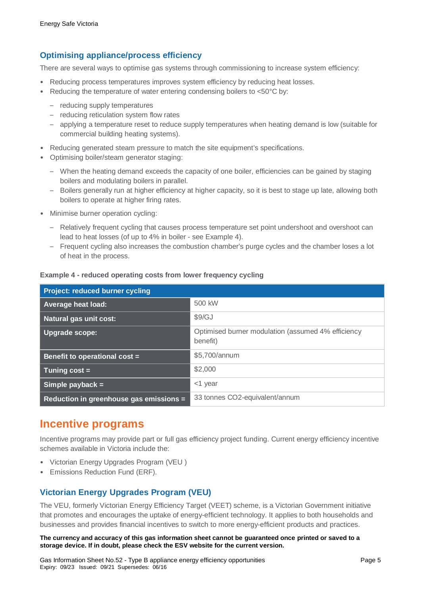## **Optimising appliance/process efficiency**

There are several ways to optimise gas systems through commissioning to increase system efficiency:

- Reducing process temperatures improves system efficiency by reducing heat losses.
- Reducing the temperature of water entering condensing boilers to <50°C by:
	- reducing supply temperatures
	- reducing reticulation system flow rates
	- applying a temperature reset to reduce supply temperatures when heating demand is low (suitable for commercial building heating systems).
- Reducing generated steam pressure to match the site equipment's specifications.
- Optimising boiler/steam generator staging:
	- When the heating demand exceeds the capacity of one boiler, efficiencies can be gained by staging boilers and modulating boilers in parallel.
	- Boilers generally run at higher efficiency at higher capacity, so it is best to stage up late, allowing both boilers to operate at higher firing rates.
- Minimise burner operation cycling:
	- Relatively frequent cycling that causes process temperature set point undershoot and overshoot can lead to heat losses (of up to 4% in boiler - see Example 4).
	- Frequent cycling also increases the combustion chamber's purge cycles and the chamber loses a lot of heat in the process.

| <b>Project: reduced burner cycling</b>  |                                                                |
|-----------------------------------------|----------------------------------------------------------------|
| <b>Average heat load:</b>               | 500 kW                                                         |
| <b>Natural gas unit cost:</b>           | \$9/GJ                                                         |
| Upgrade scope:                          | Optimised burner modulation (assumed 4% efficiency<br>benefit) |
| Benefit to operational cost =           | \$5,700/annum                                                  |
| $Tuning cost =$                         | \$2,000                                                        |
| Simple payback $=$                      | <1 year                                                        |
| Reduction in greenhouse gas emissions = | 33 tonnes CO2-equivalent/annum                                 |

#### **Example 4 - reduced operating costs from lower frequency cycling**

## **Incentive programs**

Incentive programs may provide part or full gas efficiency project funding. Current energy efficiency incentive schemes available in Victoria include the:

- Victorian Energy Upgrades Program (VEU )
- Emissions Reduction Fund (ERF).

## **Victorian Energy Upgrades Program (VEU)**

The VEU, formerly Victorian Energy Efficiency Target (VEET) scheme, is a Victorian Government initiative that promotes and encourages the uptake of energy-efficient technology. It applies to both households and businesses and provides financial incentives to switch to more energy-efficient products and practices.

**The currency and accuracy of this gas information sheet cannot be guaranteed once printed or saved to a storage device. If in doubt, please check the ESV website for the current version.**